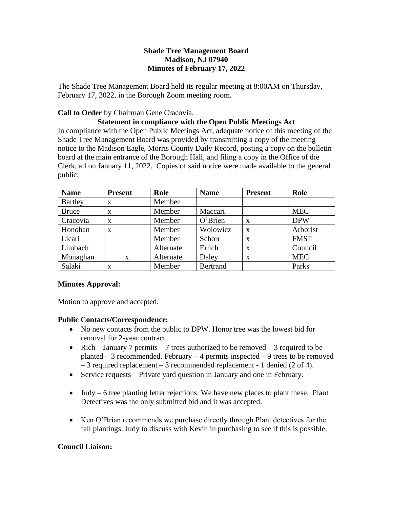## **Shade Tree Management Board Madison, NJ 07940 Minutes of February 17, 2022**

The Shade Tree Management Board held its regular meeting at 8:00AM on Thursday, February 17, 2022, in the Borough Zoom meeting room.

## **Call to Order** by Chairman Gene Cracovia.

## **Statement in compliance with the Open Public Meetings Act**

In compliance with the Open Public Meetings Act, adequate notice of this meeting of the Shade Tree Management Board was provided by transmitting a copy of the meeting notice to the Madison Eagle, Morris County Daily Record, posting a copy on the bulletin board at the main entrance of the Borough Hall, and filing a copy in the Office of the Clerk, all on January 11, 2022. Copies of said notice were made available to the general public.

| <b>Name</b>    | <b>Present</b> | Role      | <b>Name</b>     | <b>Present</b> | Role        |
|----------------|----------------|-----------|-----------------|----------------|-------------|
| <b>Bartley</b> | X              | Member    |                 |                |             |
| <b>Bruce</b>   | $\mathbf{X}$   | Member    | Maccari         |                | <b>MEC</b>  |
| Cracovia       | $\mathbf{x}$   | Member    | O'Brien         | X              | <b>DPW</b>  |
| Honohan        | X              | Member    | Wolowicz        | X              | Arborist    |
| Licari         |                | Member    | Schorr          | X              | <b>FMST</b> |
| Limbach        |                | Alternate | Erlich          | X              | Council     |
| Monaghan       | $\mathbf{X}$   | Alternate | Daley           | X              | <b>MEC</b>  |
| Salaki         | X              | Member    | <b>Bertrand</b> |                | Parks       |

## **Minutes Approval:**

Motion to approve and accepted.

## **Public Contacts/Correspondence:**

- No new contacts from the public to DPW. Honor tree was the lowest bid for removal for 2-year contract.
- Rich January 7 permits 7 trees authorized to be removed 3 required to be planted  $-3$  recommended. February  $-4$  permits inspected  $-9$  trees to be removed – 3 required replacement – 3 recommended replacement - 1 denied (2 of 4).
- Service requests Private yard question in January and one in February.
- Judy  $-6$  tree planting letter rejections. We have new places to plant these. Plant Detectives was the only submitted bid and it was accepted.
- Ken O'Brian recommends we purchase directly through Plant detectives for the fall plantings. Judy to discuss with Kevin in purchasing to see if this is possible.

# **Council Liaison:**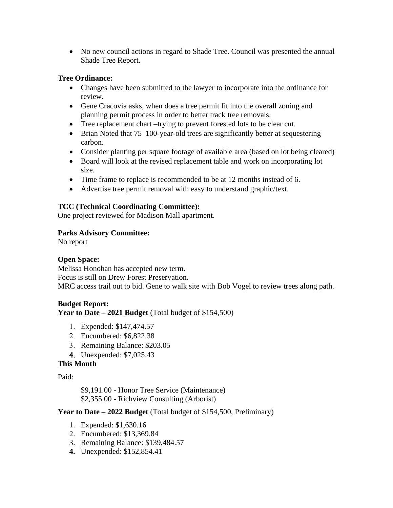• No new council actions in regard to Shade Tree. Council was presented the annual Shade Tree Report.

## **Tree Ordinance:**

- Changes have been submitted to the lawyer to incorporate into the ordinance for review.
- Gene Cracovia asks, when does a tree permit fit into the overall zoning and planning permit process in order to better track tree removals.
- Tree replacement chart –trying to prevent forested lots to be clear cut.
- Brian Noted that 75–100-year-old trees are significantly better at sequestering carbon.
- Consider planting per square footage of available area (based on lot being cleared)
- Board will look at the revised replacement table and work on incorporating lot size.
- Time frame to replace is recommended to be at 12 months instead of 6.
- Advertise tree permit removal with easy to understand graphic/text.

# **TCC (Technical Coordinating Committee):**

One project reviewed for Madison Mall apartment.

## **Parks Advisory Committee:**

No report

# **Open Space:**

Melissa Honohan has accepted new term. Focus is still on Drew Forest Preservation. MRC access trail out to bid. Gene to walk site with Bob Vogel to review trees along path.

# **Budget Report:**

**Year to Date – 2021 Budget** (Total budget of \$154,500)

- Expended: \$147,474.57
- Encumbered: \$6,822.38
- 3. Remaining Balance: \$203.05
- Unexpended: \$7,025.43

# **This Month**

## Paid:

\$9,191.00 - Honor Tree Service (Maintenance) \$2,355.00 - Richview Consulting (Arborist)

## **Year to Date – 2022 Budget** (Total budget of \$154,500, Preliminary)

- 1. Expended: \$1,630.16
- 2. Encumbered: \$13,369.84
- 3. Remaining Balance: \$139,484.57
- **4.** Unexpended: \$152,854.41